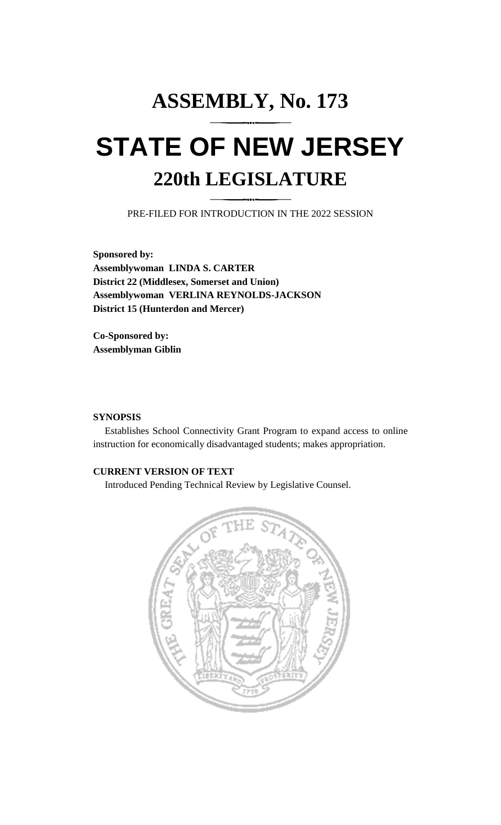# **ASSEMBLY, No. 173 STATE OF NEW JERSEY 220th LEGISLATURE**

PRE-FILED FOR INTRODUCTION IN THE 2022 SESSION

**Sponsored by: Assemblywoman LINDA S. CARTER District 22 (Middlesex, Somerset and Union) Assemblywoman VERLINA REYNOLDS-JACKSON District 15 (Hunterdon and Mercer)**

**Co-Sponsored by: Assemblyman Giblin**

### **SYNOPSIS**

Establishes School Connectivity Grant Program to expand access to online instruction for economically disadvantaged students; makes appropriation.

## **CURRENT VERSION OF TEXT**

Introduced Pending Technical Review by Legislative Counsel.

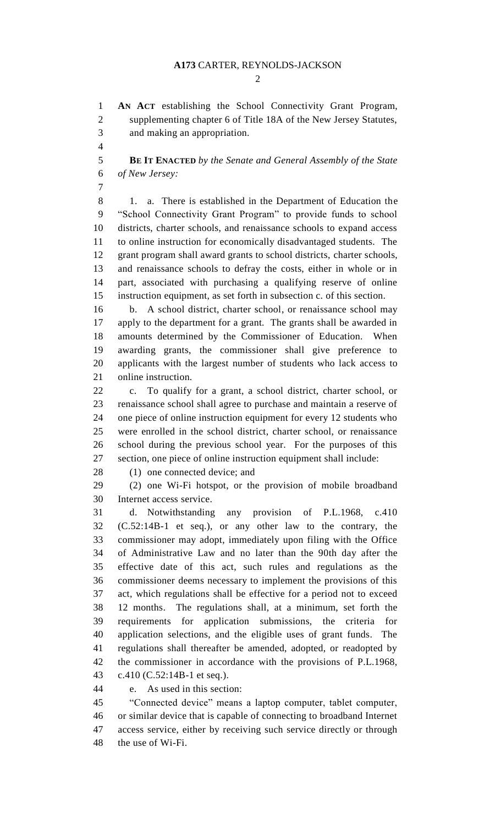#### **A173** CARTER, REYNOLDS-JACKSON

 $\mathcal{D}$ 

 **AN ACT** establishing the School Connectivity Grant Program, supplementing chapter 6 of Title 18A of the New Jersey Statutes, and making an appropriation.

 **BE IT ENACTED** *by the Senate and General Assembly of the State of New Jersey:*

 1. a. There is established in the Department of Education the "School Connectivity Grant Program" to provide funds to school districts, charter schools, and renaissance schools to expand access to online instruction for economically disadvantaged students. The grant program shall award grants to school districts, charter schools, and renaissance schools to defray the costs, either in whole or in part, associated with purchasing a qualifying reserve of online instruction equipment, as set forth in subsection c. of this section.

 b. A school district, charter school, or renaissance school may apply to the department for a grant. The grants shall be awarded in amounts determined by the Commissioner of Education. When awarding grants, the commissioner shall give preference to applicants with the largest number of students who lack access to online instruction.

 c. To qualify for a grant, a school district, charter school, or renaissance school shall agree to purchase and maintain a reserve of one piece of online instruction equipment for every 12 students who were enrolled in the school district, charter school, or renaissance school during the previous school year. For the purposes of this section, one piece of online instruction equipment shall include:

28 (1) one connected device; and

 (2) one Wi-Fi hotspot, or the provision of mobile broadband Internet access service.

 d. Notwithstanding any provision of P.L.1968, c.410 (C.52:14B-1 et seq.), or any other law to the contrary, the commissioner may adopt, immediately upon filing with the Office of Administrative Law and no later than the 90th day after the effective date of this act, such rules and regulations as the commissioner deems necessary to implement the provisions of this act, which regulations shall be effective for a period not to exceed 12 months. The regulations shall, at a minimum, set forth the requirements for application submissions, the criteria for application selections, and the eligible uses of grant funds. The regulations shall thereafter be amended, adopted, or readopted by the commissioner in accordance with the provisions of P.L.1968, c.410 (C.52:14B-1 et seq.).

e. As used in this section:

 "Connected device" means a laptop computer, tablet computer, or similar device that is capable of connecting to broadband Internet access service, either by receiving such service directly or through the use of Wi-Fi.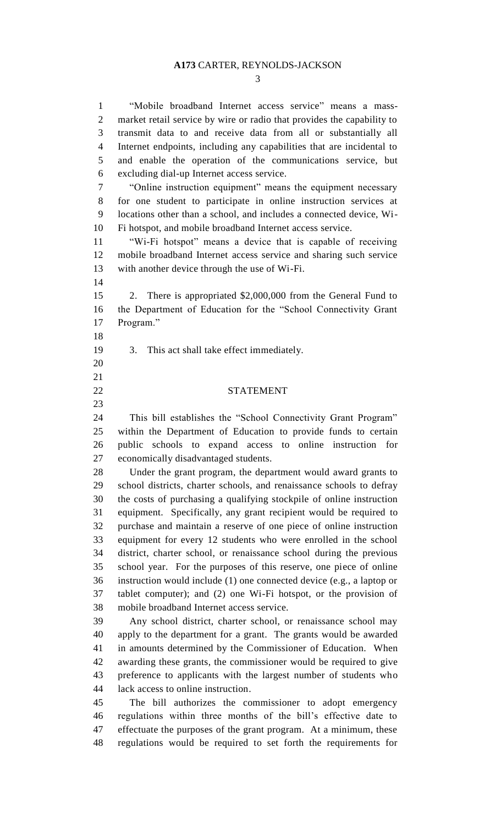#### **A173** CARTER, REYNOLDS-JACKSON

 "Mobile broadband Internet access service" means a mass- market retail service by wire or radio that provides the capability to transmit data to and receive data from all or substantially all Internet endpoints, including any capabilities that are incidental to and enable the operation of the communications service, but excluding dial-up Internet access service. "Online instruction equipment" means the equipment necessary for one student to participate in online instruction services at locations other than a school, and includes a connected device, Wi-

Fi hotspot, and mobile broadband Internet access service.

 "Wi-Fi hotspot" means a device that is capable of receiving mobile broadband Internet access service and sharing such service with another device through the use of Wi-Fi.

 2. There is appropriated \$2,000,000 from the General Fund to the Department of Education for the "School Connectivity Grant Program."

3. This act shall take effect immediately.

 

#### STATEMENT

 This bill establishes the "School Connectivity Grant Program" within the Department of Education to provide funds to certain public schools to expand access to online instruction for economically disadvantaged students.

 Under the grant program, the department would award grants to school districts, charter schools, and renaissance schools to defray the costs of purchasing a qualifying stockpile of online instruction equipment. Specifically, any grant recipient would be required to purchase and maintain a reserve of one piece of online instruction equipment for every 12 students who were enrolled in the school district, charter school, or renaissance school during the previous school year. For the purposes of this reserve, one piece of online instruction would include (1) one connected device (e.g., a laptop or tablet computer); and (2) one Wi-Fi hotspot, or the provision of mobile broadband Internet access service.

 Any school district, charter school, or renaissance school may apply to the department for a grant. The grants would be awarded in amounts determined by the Commissioner of Education. When awarding these grants, the commissioner would be required to give preference to applicants with the largest number of students who lack access to online instruction.

 The bill authorizes the commissioner to adopt emergency regulations within three months of the bill's effective date to effectuate the purposes of the grant program. At a minimum, these regulations would be required to set forth the requirements for